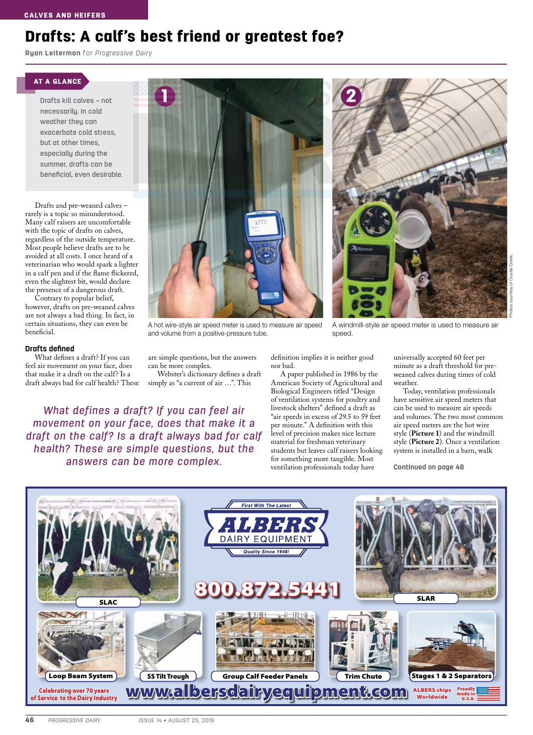## Drafts: A calf's best friend or greatest foe?

**Ryan Leiterman** for *Progressive Dairy*

#### AT A GLANCE

Drafts kill calves – not necessarily. In cold weather they can exacerbate cold stress, but at other times, especially during the summer, drafts can be beneficial, even desirable.

Drafts and pre-weaned calves – rarely is a topic so misunderstood. Many calf raisers are uncomfortable with the topic of drafts on calves, regardless of the outside temperature. Most people believe drafts are to be avoided at all costs. I once heard of a veterinarian who would spark a lighter in a calf pen and if the flame flickered, even the slightest bit, would declare the presence of a dangerous draft.

Contrary to popular belief, however, drafts on pre-weaned calves are not always a bad thing. In fact, in certain situations, they can even be beneficial.

#### **Drafts defined**

What defines a draft? If you can feel air movement on your face, does that make it a draft on the calf? Is a draft always bad for calf health? These



A hot wire-style air speed meter is used to measure air speed and volume from a positive-pressure tube.

are simple questions, but the answers can be more complex.

Webster's dictionary defines a draft simply as "a current of air ...". This

*What defines a draft? If you can feel air movement on your face, does that make it a draft on the calf? Is a draft always bad for calf health? These are simple questions, but the answers can be more complex.*



A windmill-style air speed meter is used to measure air speed.

definition implies it is neither good nor bad.

A paper published in 1986 by the American Society of Agricultural and Biological Engineers titled "Design of ventilation systems for poultry and livestock shelters" defined a draft as "air speeds in excess of 29.5 to 59 feet per minute." A definition with this level of precision makes nice lecture material for freshman veterinary students but leaves calf raisers looking for something more tangible. Most ventilation professionals today have

universally accepted 60 feet per minute as a draft threshold for preweaned calves during times of cold weather.

Today, ventilation professionals have sensitive air speed meters that can be used to measure air speeds and volumes. The two most common air speed meters are the hot wire style (**Picture 1**) and the windmill style (**Picture 2**). Once a ventilation system is installed in a barn, walk

**Continued on page 48**